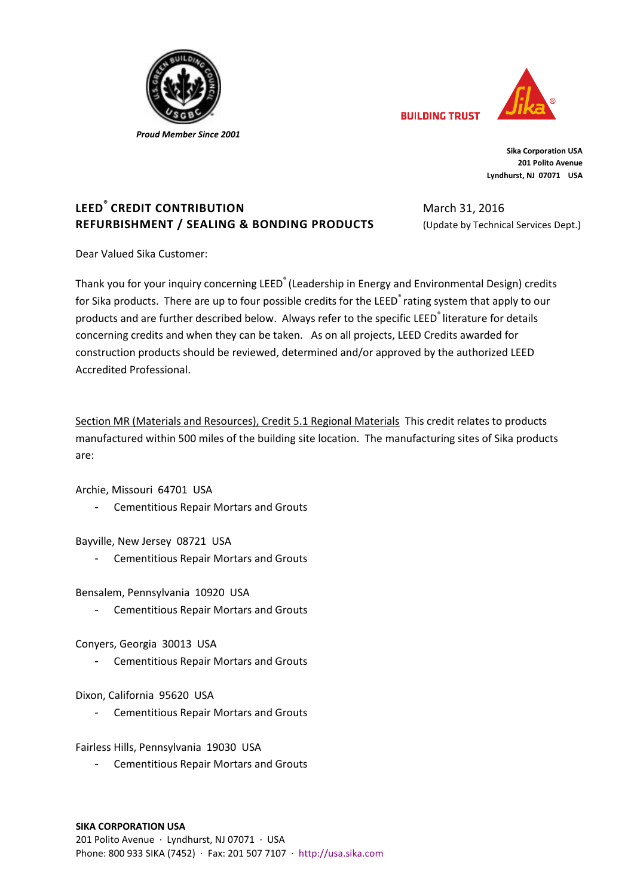

 *Proud Member Since 2001*



**Sika Corporation USA 201 Polito Avenue Lyndhurst, NJ 07071 USA**

March 31, 2016

**BUILDING TRUST** 

(Update by Technical Services Dept.)

# **LEED® CREDIT CONTRIBUTION REFURBISHMENT / SEALING & BONDING PRODUCTS**

Dear Valued Sika Customer:

Thank you for your inquiry concerning LEED<sup>®</sup> (Leadership in Energy and Environmental Design) credits for Sika products. There are up to four possible credits for the LEED<sup>®</sup> rating system that apply to our products and are further described below. Always refer to the specific LEED<sup>®</sup> literature for details concerning credits and when they can be taken. As on all projects, LEED Credits awarded for construction products should be reviewed, determined and/or approved by the authorized LEED Accredited Professional.

Section MR (Materials and Resources), Credit 5.1 Regional Materials This credit relates to products manufactured within 500 miles of the building site location. The manufacturing sites of Sika products are:

Archie, Missouri 64701 USA

- Cementitious Repair Mortars and Grouts

Bayville, New Jersey 08721 USA

- Cementitious Repair Mortars and Grouts

Bensalem, Pennsylvania 10920 USA

- Cementitious Repair Mortars and Grouts

Conyers, Georgia 30013 USA

- Cementitious Repair Mortars and Grouts

Dixon, California 95620 USA

- Cementitious Repair Mortars and Grouts

Fairless Hills, Pennsylvania 19030 USA

- Cementitious Repair Mortars and Grouts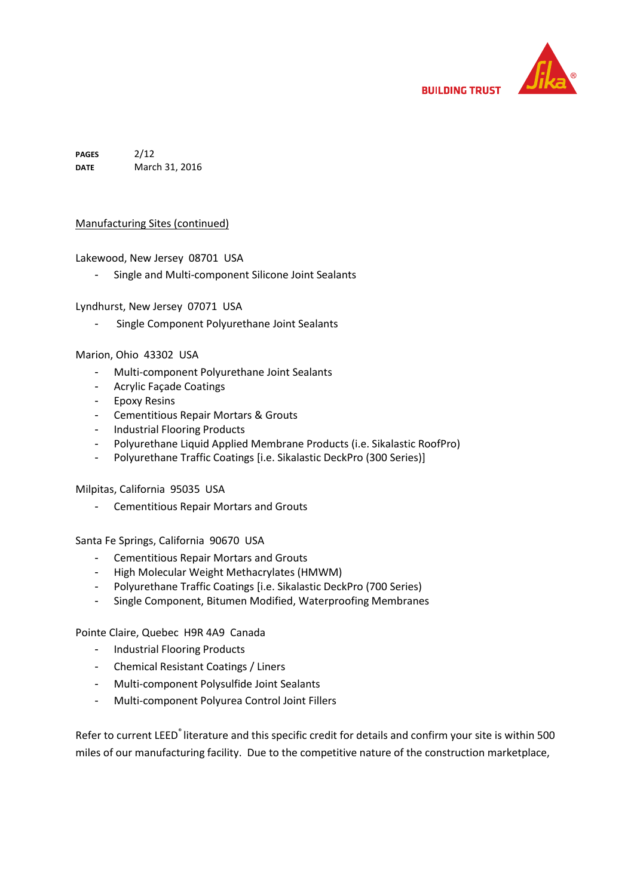

**PAGES DATE** 2/12 March 31, 2016

### Manufacturing Sites (continued)

Lakewood, New Jersey 08701 USA

- Single and Multi-component Silicone Joint Sealants

Lyndhurst, New Jersey 07071 USA

- Single Component Polyurethane Joint Sealants

#### Marion, Ohio 43302 USA

- Multi-component Polyurethane Joint Sealants
- Acrylic Façade Coatings
- Epoxy Resins
- Cementitious Repair Mortars & Grouts
- Industrial Flooring Products
- Polyurethane Liquid Applied Membrane Products (i.e. Sikalastic RoofPro)
- Polyurethane Traffic Coatings [i.e. Sikalastic DeckPro (300 Series)]

#### Milpitas, California 95035 USA

- Cementitious Repair Mortars and Grouts

Santa Fe Springs, California 90670 USA

- Cementitious Repair Mortars and Grouts
- High Molecular Weight Methacrylates (HMWM)
- Polyurethane Traffic Coatings [i.e. Sikalastic DeckPro (700 Series)
- Single Component, Bitumen Modified, Waterproofing Membranes

Pointe Claire, Quebec H9R 4A9 Canada

- Industrial Flooring Products
- Chemical Resistant Coatings / Liners
- Multi-component Polysulfide Joint Sealants
- Multi-component Polyurea Control Joint Fillers

Refer to current LEED<sup>®</sup> literature and this specific credit for details and confirm your site is within 500 miles of our manufacturing facility. Due to the competitive nature of the construction marketplace,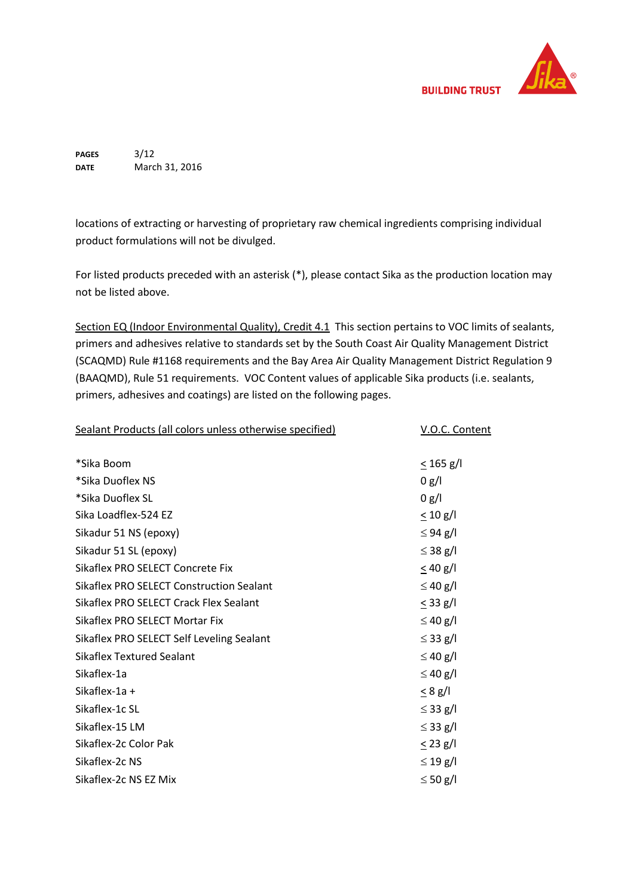

**PAGES DATE** 3/12 March 31, 2016

locations of extracting or harvesting of proprietary raw chemical ingredients comprising individual product formulations will not be divulged.

For listed products preceded with an asterisk (\*), please contact Sika as the production location may not be listed above.

Section EQ (Indoor Environmental Quality), Credit 4.1 This section pertains to VOC limits of sealants, primers and adhesives relative to standards set by the South Coast Air Quality Management District (SCAQMD) Rule #1168 requirements and the Bay Area Air Quality Management District Regulation 9 (BAAQMD), Rule 51 requirements. VOC Content values of applicable Sika products (i.e. sealants, primers, adhesives and coatings) are listed on the following pages.

Sealant Products (all colors unless otherwise specified) V.O.C. Content \*Sika Boom < 165 g/l \*Sika Duoflex NS 0 g/l \*Sika Duoflex SL 0 g/l Sika Loadflex-524 EZ  $\leq 10 \text{ g/l}$ Sikadur 51 NS (epoxy)  $\leq 94$  g/l Sikadur 51 SL (epoxy)  $\leq 38$  g/l Sikaflex PRO SELECT Concrete Fix  $\leq 40$  g/l Sikaflex PRO SELECT Construction Sealant  $\leq 40$  g/l Sikaflex PRO SELECT Crack Flex Sealant  $\leq$  33 g/l Sikaflex PRO SELECT Mortar Fix  $\leq 40$  g/l Sikaflex PRO SELECT Self Leveling Sealant  $\leq$  33 g/l Sikaflex Textured Sealant  $\leq 40$  g/l Sikaflex-1a  $\leq 40$  g/l Sikaflex-1a +  $\leq 8$  g/l Sikaflex-1c SL  $\leq$  33 g/l Sikaflex-15 LM  $\leq$  33 g/l Sikaflex-2c Color Pak  $\leq$  23 g/l Sikaflex-2c NS  $\leq 19$  g/l Sikaflex-2c NS EZ Mix  $\leq$  50 g/l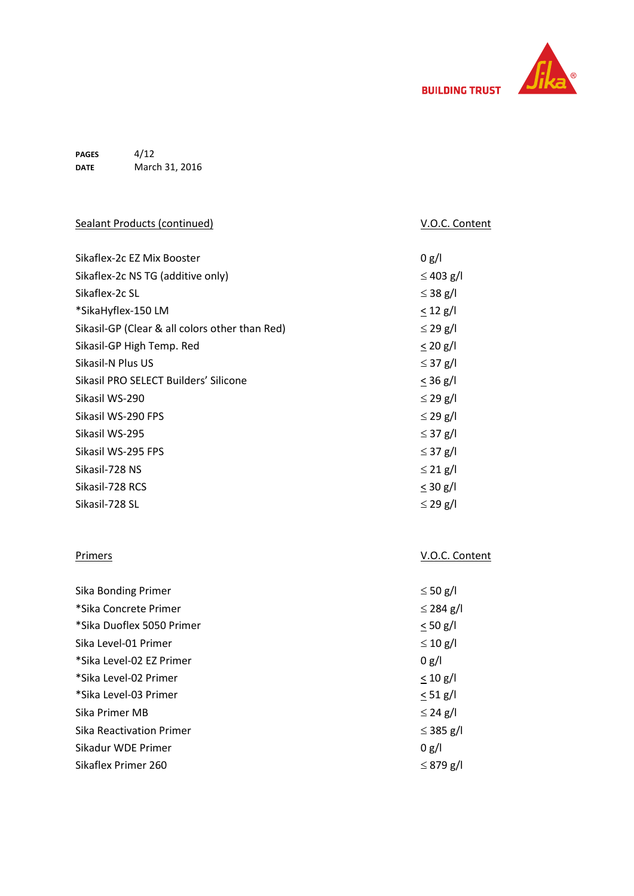

**PAGES DATE** 4/12 March 31, 2016

| <b>Sealant Products (continued)</b>            | V.O.C. Content |
|------------------------------------------------|----------------|
|                                                |                |
| Sikaflex-2c EZ Mix Booster                     | 0 g/l          |
| Sikaflex-2c NS TG (additive only)              | $\leq$ 403 g/l |
| Sikaflex-2c SL                                 | $\leq$ 38 g/l  |
| *SikaHyflex-150 LM                             | $\leq$ 12 g/l  |
| Sikasil-GP (Clear & all colors other than Red) | $\leq$ 29 g/l  |
| Sikasil-GP High Temp. Red                      | $\leq$ 20 g/l  |
| Sikasil-N Plus US                              | $\leq$ 37 g/l  |
| Sikasil PRO SELECT Builders' Silicone          | $\leq$ 36 g/l  |
| Sikasil WS-290                                 | $\leq$ 29 g/l  |
| Sikasil WS-290 FPS                             | $\leq$ 29 g/l  |
| Sikasil WS-295                                 | $\leq$ 37 g/l  |
| Sikasil WS-295 FPS                             | $\leq$ 37 g/l  |
| Sikasil-728 NS                                 | $\leq$ 21 g/l  |
| Sikasil-728 RCS                                | $\leq$ 30 g/l  |
| Sikasil-728 SL                                 | $\leq$ 29 g/l  |
|                                                |                |
|                                                |                |
| <b>Primers</b>                                 | V.O.C. Content |
|                                                |                |
| <b>Sika Bonding Primer</b>                     | $\leq 50$ g/l  |
| *Sika Concrete Primer                          | $\leq$ 284 g/l |
| *Sika Duoflex 5050 Primer                      | $\leq 50$ g/l  |
| Sika Level-01 Primer                           | $\leq 10$ g/l  |
| *Sika Level-02 EZ Primer                       | 0 g/l          |
| *Sika Level-02 Primer                          | $\leq 10$ g/l  |
| *Sika Level-03 Primer                          | $\leq 51$ g/l  |
| Sika Primer MB                                 | $\leq$ 24 g/l  |
| <b>Sika Reactivation Primer</b>                | $\leq$ 385 g/l |
| Sikadur WDE Primer                             | 0 g/l          |
| Sikaflex Primer 260                            | $\leq$ 879 g/l |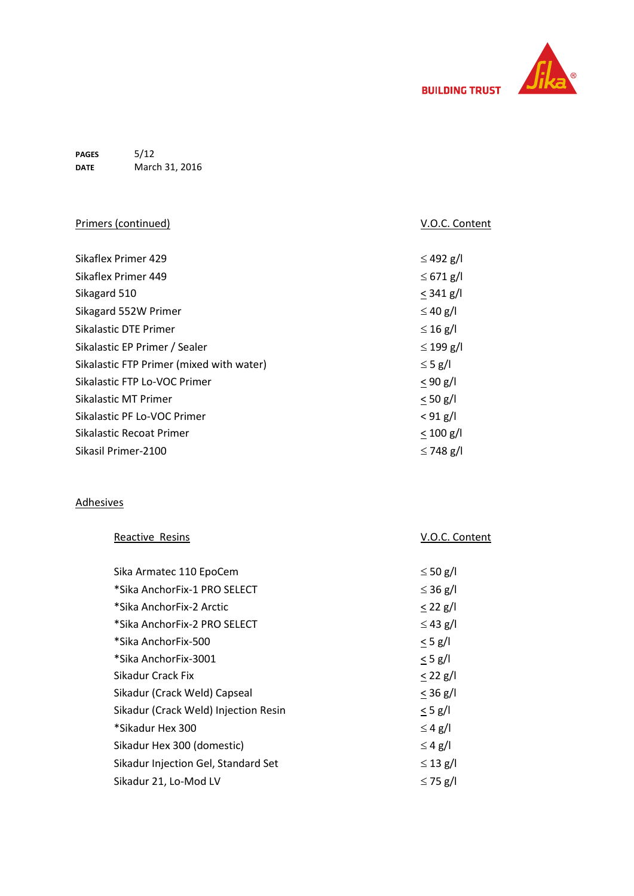

**PAGES DATE** 5/12 March 31, 2016

| Primers (continued)                      | V.O.C. Content |
|------------------------------------------|----------------|
|                                          |                |
| Sikaflex Primer 429                      | $\leq$ 492 g/l |
| Sikaflex Primer 449                      | $\leq 671$ g/l |
| Sikagard 510                             | $<$ 341 g/l    |
| Sikagard 552W Primer                     | $\leq$ 40 g/l  |
| <b>Sikalastic DTE Primer</b>             | $\leq$ 16 g/l  |
| Sikalastic EP Primer / Sealer            | $\leq$ 199 g/l |
| Sikalastic FTP Primer (mixed with water) | $\leq$ 5 g/l   |
| Sikalastic FTP Lo-VOC Primer             | $< 90$ g/l     |
| Sikalastic MT Primer                     | $< 50$ g/l     |
| Sikalastic PF Lo-VOC Primer              | $< 91$ g/l     |
| Sikalastic Recoat Primer                 | $< 100$ g/l    |
| Sikasil Primer-2100                      | $\leq$ 748 g/l |

## Adhesives

| Reactive Resins                      | V.O.C. Content |
|--------------------------------------|----------------|
|                                      |                |
| Sika Armatec 110 EpoCem              | $\leq 50$ g/l  |
| *Sika AnchorFix-1 PRO SELECT         | $\leq$ 36 g/l  |
| *Sika AnchorFix-2 Arctic             | $< 22$ g/l     |
| *Sika AnchorFix-2 PRO SELECT         | $\leq$ 43 g/l  |
| *Sika AnchorFix-500                  | $\leq$ 5 g/l   |
| *Sika AnchorFix-3001                 | $<$ 5 g/l      |
| Sikadur Crack Fix                    | $\leq$ 22 g/l  |
| Sikadur (Crack Weld) Capseal         | $\leq$ 36 g/l  |
| Sikadur (Crack Weld) Injection Resin | $\leq$ 5 g/l   |
| *Sikadur Hex 300                     | $\leq 4$ g/l   |
| Sikadur Hex 300 (domestic)           | $\leq 4$ g/l   |
| Sikadur Injection Gel, Standard Set  | $\leq$ 13 g/l  |
| Sikadur 21, Lo-Mod LV                | $\leq$ 75 g/l  |
|                                      |                |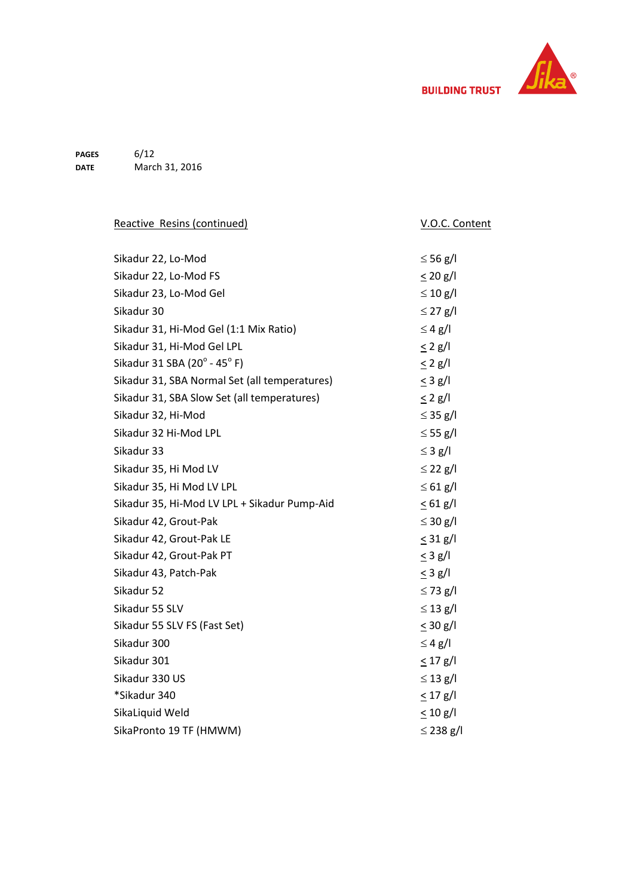

**PAGES DATE** 6/12 March 31, 2016

| Reactive Resins (continued)                   | V.O.C. Content |
|-----------------------------------------------|----------------|
|                                               |                |
| Sikadur 22, Lo-Mod                            | $\leq$ 56 g/l  |
| Sikadur 22, Lo-Mod FS                         | $\leq$ 20 g/l  |
| Sikadur 23, Lo-Mod Gel                        | $\leq 10$ g/l  |
| Sikadur 30                                    | $\leq$ 27 g/l  |
| Sikadur 31, Hi-Mod Gel (1:1 Mix Ratio)        | $\leq 4$ g/l   |
| Sikadur 31, Hi-Mod Gel LPL                    | $\leq$ 2 g/l   |
| Sikadur 31 SBA (20° - 45° F)                  | $\leq$ 2 g/l   |
| Sikadur 31, SBA Normal Set (all temperatures) | $<$ 3 g/l      |
| Sikadur 31, SBA Slow Set (all temperatures)   | $\leq$ 2 g/l   |
| Sikadur 32, Hi-Mod                            | $\leq$ 35 g/l  |
| Sikadur 32 Hi-Mod LPL                         | $\leq$ 55 g/l  |
| Sikadur 33                                    | $\leq$ 3 g/l   |
| Sikadur 35, Hi Mod LV                         | $\leq$ 22 g/l  |
| Sikadur 35, Hi Mod LV LPL                     | $\leq 61$ g/l  |
| Sikadur 35, Hi-Mod LV LPL + Sikadur Pump-Aid  | $\leq 61$ g/l  |
| Sikadur 42, Grout-Pak                         | $\leq$ 30 g/l  |
| Sikadur 42, Grout-Pak LE                      | $\leq$ 31 g/l  |
| Sikadur 42, Grout-Pak PT                      | $\leq$ 3 g/l   |
| Sikadur 43, Patch-Pak                         | $\leq$ 3 g/l   |
| Sikadur 52                                    | $\leq$ 73 g/l  |
| Sikadur 55 SLV                                | $\leq$ 13 g/l  |
| Sikadur 55 SLV FS (Fast Set)                  | $\leq$ 30 g/l  |
| Sikadur 300                                   | $\leq$ 4 g/l   |
| Sikadur 301                                   | $\leq$ 17 g/l  |
| Sikadur 330 US                                | $\leq$ 13 g/l  |
| *Sikadur 340                                  | $\leq$ 17 g/l  |
| SikaLiquid Weld                               | $\leq 10$ g/l  |
| SikaPronto 19 TF (HMWM)                       | $\leq$ 238 g/l |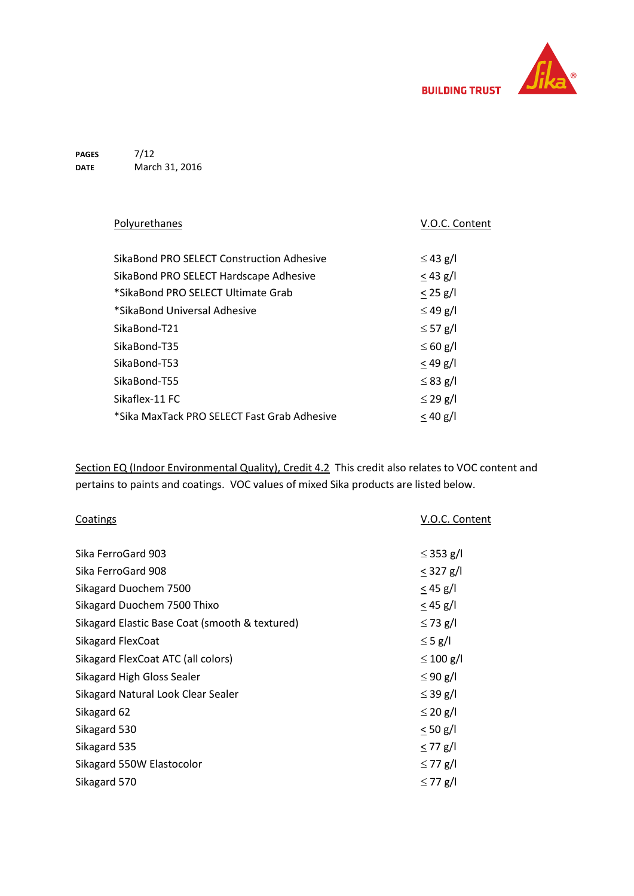

**PAGES DATE** 7/12 March 31, 2016

| Polyurethanes                               | V.O.C. Content |
|---------------------------------------------|----------------|
| SikaBond PRO SELECT Construction Adhesive   | $\leq$ 43 g/l  |
|                                             |                |
| SikaBond PRO SELECT Hardscape Adhesive      | $<$ 43 g/l     |
| *SikaBond PRO SELECT Ultimate Grab          | $< 25$ g/l     |
| *SikaBond Universal Adhesive                | $\leq$ 49 g/l  |
| SikaBond-T21                                | $\leq$ 57 g/l  |
| SikaBond-T35                                | $\leq 60$ g/l  |
| SikaBond-T53                                | $<$ 49 g/l     |
| SikaBond-T55                                | $\leq$ 83 g/l  |
| Sikaflex-11 FC                              | $\leq$ 29 g/l  |
| *Sika MaxTack PRO SELECT Fast Grab Adhesive | $< 40$ g/l     |

Section EQ (Indoor Environmental Quality), Credit 4.2 This credit also relates to VOC content and pertains to paints and coatings. VOC values of mixed Sika products are listed below.

| Coatings                                       | V.O.C. Content |
|------------------------------------------------|----------------|
| Sika FerroGard 903                             | $\leq$ 353 g/l |
| Sika FerroGard 908                             | $<$ 327 g/l    |
| Sikagard Duochem 7500                          | $\leq$ 45 g/l  |
| Sikagard Duochem 7500 Thixo                    | $\leq$ 45 g/l  |
| Sikagard Elastic Base Coat (smooth & textured) | $\leq$ 73 g/l  |
| <b>Sikagard FlexCoat</b>                       | $\leq$ 5 g/l   |
| Sikagard FlexCoat ATC (all colors)             | $\leq 100$ g/l |
| Sikagard High Gloss Sealer                     | $\leq 90$ g/l  |
| Sikagard Natural Look Clear Sealer             | $\leq$ 39 g/l  |
| Sikagard 62                                    | $\leq$ 20 g/l  |
| Sikagard 530                                   | $\leq 50$ g/l  |
| Sikagard 535                                   | $\leq$ 77 g/l  |
| Sikagard 550W Elastocolor                      | $\leq$ 77 g/l  |
| Sikagard 570                                   | $\leq$ 77 g/l  |
|                                                |                |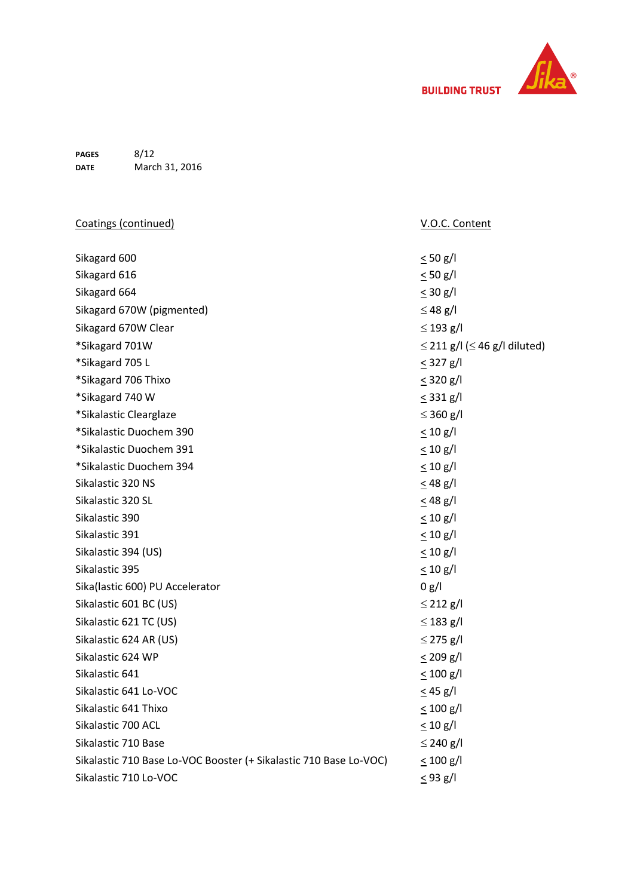

**PAGES DATE** 8/12 March 31, 2016

| Coatings (continued)                                              | V.O.C. Content                          |
|-------------------------------------------------------------------|-----------------------------------------|
|                                                                   |                                         |
| Sikagard 600                                                      | $\leq 50$ g/l                           |
| Sikagard 616                                                      | $< 50$ g/l                              |
| Sikagard 664                                                      | $\leq$ 30 g/l                           |
| Sikagard 670W (pigmented)                                         | $\leq$ 48 g/l                           |
| Sikagard 670W Clear                                               | $\leq$ 193 g/l                          |
| *Sikagard 701W                                                    | $\leq$ 211 g/l ( $\leq$ 46 g/l diluted) |
| *Sikagard 705 L                                                   | $\leq$ 327 g/l                          |
| *Sikagard 706 Thixo                                               | $\leq$ 320 g/l                          |
| *Sikagard 740 W                                                   | $\leq$ 331 g/l                          |
| *Sikalastic Clearglaze                                            | $\leq$ 360 g/l                          |
| *Sikalastic Duochem 390                                           | $\leq 10$ g/l                           |
| *Sikalastic Duochem 391                                           | $\leq 10$ g/l                           |
| *Sikalastic Duochem 394                                           | $\leq 10$ g/l                           |
| Sikalastic 320 NS                                                 | $< 48$ g/l                              |
| Sikalastic 320 SL                                                 | $\leq$ 48 g/l                           |
| Sikalastic 390                                                    | $\leq 10$ g/l                           |
| Sikalastic 391                                                    | $\leq 10$ g/l                           |
| Sikalastic 394 (US)                                               | < 10 g/l                                |
| Sikalastic 395                                                    | $\leq 10$ g/l                           |
| Sika(lastic 600) PU Accelerator                                   | 0 g/l                                   |
| Sikalastic 601 BC (US)                                            | $\leq$ 212 g/l                          |
| Sikalastic 621 TC (US)                                            | $\leq$ 183 g/l                          |
| Sikalastic 624 AR (US)                                            | $\leq$ 275 g/l                          |
| Sikalastic 624 WP                                                 | $\leq$ 209 g/l                          |
| Sikalastic 641                                                    | $\leq 100$ g/l                          |
| Sikalastic 641 Lo-VOC                                             | $\leq$ 45 g/l                           |
| Sikalastic 641 Thixo                                              | $\leq 100$ g/l                          |
| Sikalastic 700 ACL                                                | $\leq 10$ g/l                           |
| Sikalastic 710 Base                                               | $\leq$ 240 g/l                          |
| Sikalastic 710 Base Lo-VOC Booster (+ Sikalastic 710 Base Lo-VOC) | $\leq 100$ g/l                          |
| Sikalastic 710 Lo-VOC                                             | $\leq$ 93 g/l                           |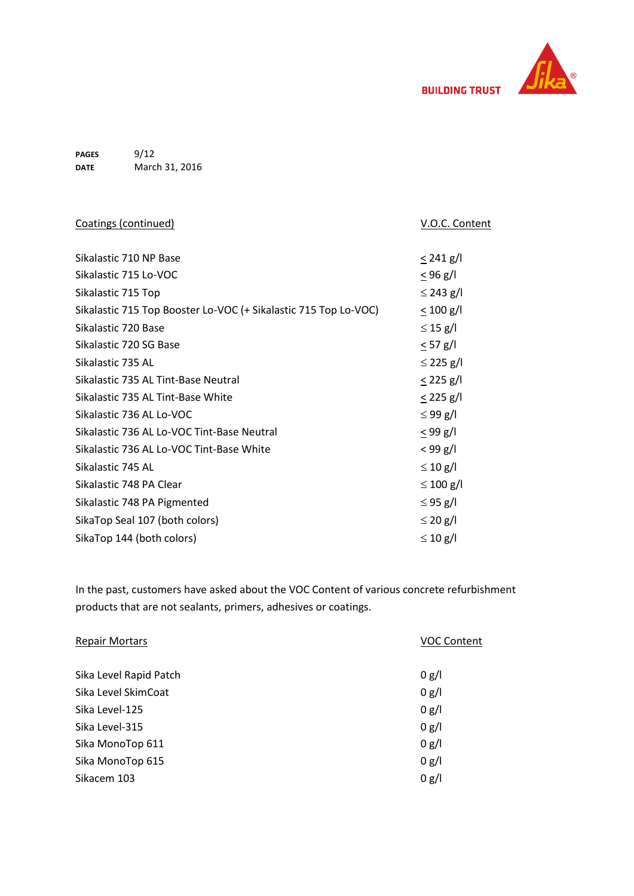

**PAGES DATE** 9/12 March 31, 2016

| Coatings (continued)                                            | V.O.C. Content |
|-----------------------------------------------------------------|----------------|
|                                                                 |                |
| Sikalastic 710 NP Base                                          | $\leq$ 241 g/l |
| Sikalastic 715 Lo-VOC                                           | $\leq$ 96 g/l  |
| Sikalastic 715 Top                                              | $\leq$ 243 g/l |
| Sikalastic 715 Top Booster Lo-VOC (+ Sikalastic 715 Top Lo-VOC) | $\leq 100$ g/l |
| Sikalastic 720 Base                                             | $\leq$ 15 g/l  |
| Sikalastic 720 SG Base                                          | $< 57$ g/l     |
| Sikalastic 735 AL                                               | $\leq$ 225 g/l |
| Sikalastic 735 AL Tint-Base Neutral                             | $\leq$ 225 g/l |
| Sikalastic 735 AL Tint-Base White                               | $\leq$ 225 g/l |
| Sikalastic 736 AL Lo-VOC                                        | $\leq$ 99 g/l  |
| Sikalastic 736 AL Lo-VOC Tint-Base Neutral                      | $<$ 99 g/l     |
| Sikalastic 736 AL Lo-VOC Tint-Base White                        | $< 99$ g/l     |
| Sikalastic 745 AL                                               | $\leq 10$ g/l  |
| Sikalastic 748 PA Clear                                         | $\leq 100$ g/l |
| Sikalastic 748 PA Pigmented                                     | $\leq$ 95 g/l  |
| SikaTop Seal 107 (both colors)                                  | $\leq$ 20 g/l  |
| SikaTop 144 (both colors)                                       | $\leq 10$ g/l  |
|                                                                 |                |

In the past, customers have asked about the VOC Content of various concrete refurbishment products that are not sealants, primers, adhesives or coatings.

| <b>Repair Mortars</b>  | <b>VOC Content</b> |
|------------------------|--------------------|
|                        |                    |
| Sika Level Rapid Patch | 0 g/l              |
| Sika Level SkimCoat    | 0 g/l              |
| Sika Level-125         | 0 g/l              |
| Sika Level-315         | 0 g/l              |
| Sika MonoTop 611       | 0 g/l              |
| Sika MonoTop 615       | 0 g/l              |
| Sikacem 103            | 0 g/l              |
|                        |                    |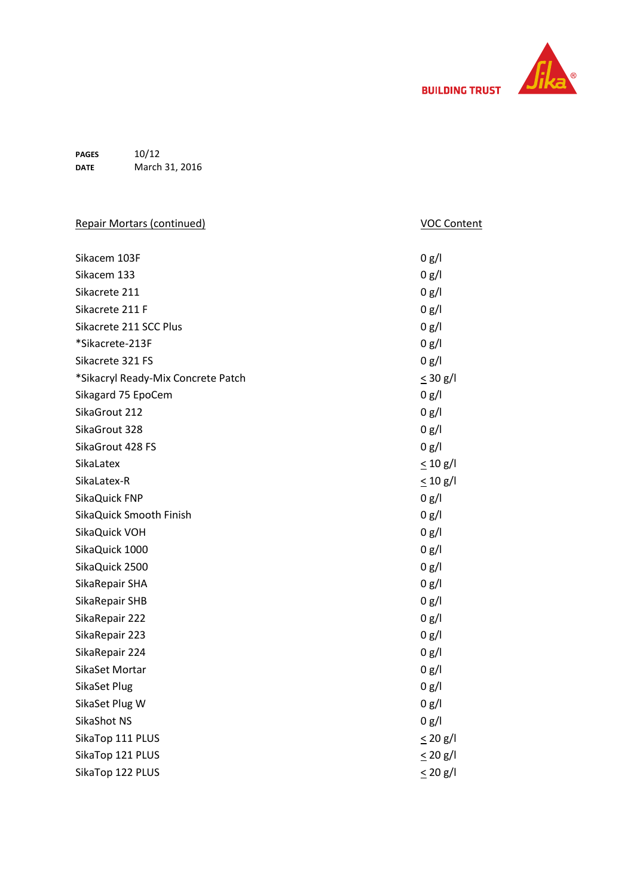

**PAGES DATE** 10/12 March 31, 2016

| <b>Repair Mortars (continued)</b>  | <b>VOC Content</b> |
|------------------------------------|--------------------|
| Sikacem 103F                       | 0 g/l              |
| Sikacem 133                        | 0 g/l              |
| Sikacrete 211                      | 0 g/l              |
| Sikacrete 211 F                    | 0 g/l              |
| Sikacrete 211 SCC Plus             | 0 g/l              |
| *Sikacrete-213F                    | 0 g/l              |
| Sikacrete 321 FS                   | 0 g/l              |
| *Sikacryl Ready-Mix Concrete Patch | $\leq$ 30 g/l      |
| Sikagard 75 EpoCem                 | 0 g/l              |
| SikaGrout 212                      | 0 g/l              |
| SikaGrout 328                      | 0 g/l              |
| SikaGrout 428 FS                   | 0 g/l              |
| <b>SikaLatex</b>                   | $\leq 10$ g/l      |
| SikaLatex-R                        | $\leq 10$ g/l      |
| SikaQuick FNP                      | 0 g/l              |
| SikaQuick Smooth Finish            | 0 g/l              |
| SikaQuick VOH                      | 0 g/l              |
| SikaQuick 1000                     | 0 g/l              |
| SikaQuick 2500                     | 0 g/l              |
| SikaRepair SHA                     | 0 g/l              |
| SikaRepair SHB                     | 0 g/l              |
| SikaRepair 222                     | 0 g/l              |
| SikaRepair 223                     | 0 g/l              |
| SikaRepair 224                     | 0 g/l              |
| SikaSet Mortar                     | 0 g/l              |
| SikaSet Plug                       | 0 g/l              |
| SikaSet Plug W                     | 0 g/l              |
| SikaShot NS                        | 0 g/l              |
| SikaTop 111 PLUS                   | $\leq$ 20 g/l      |
| SikaTop 121 PLUS                   | $\leq$ 20 g/l      |
| SikaTop 122 PLUS                   | $\leq$ 20 g/l      |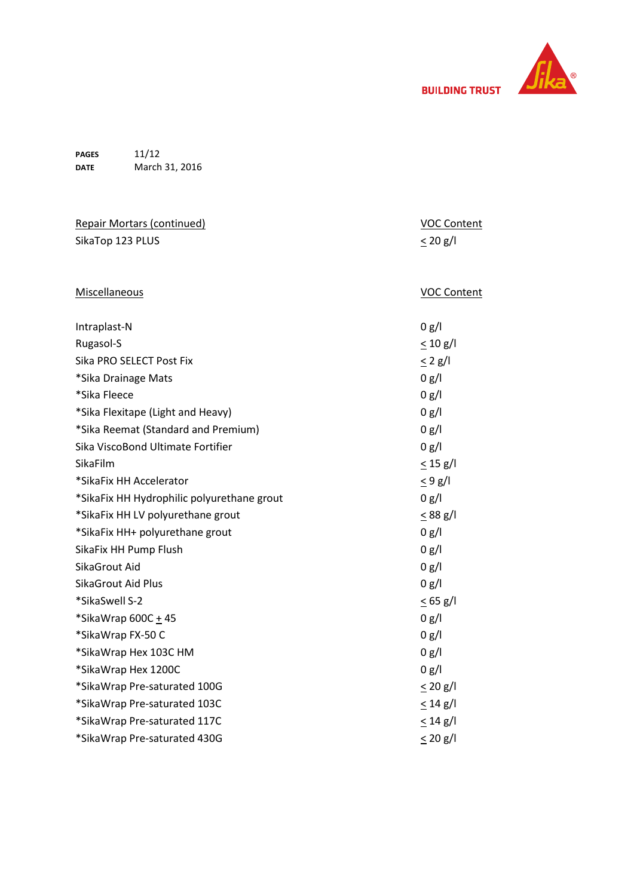

**PAGES DATE** 11/12 March 31, 2016

| <b>Repair Mortars (continued)</b>          | <b>VOC Content</b> |
|--------------------------------------------|--------------------|
| SikaTop 123 PLUS                           | $\leq$ 20 g/l      |
|                                            |                    |
| Miscellaneous                              | <b>VOC Content</b> |
| Intraplast-N                               | 0 g/l              |
| Rugasol-S                                  | $\leq 10$ g/l      |
| Sika PRO SELECT Post Fix                   | $\leq$ 2 g/l       |
| *Sika Drainage Mats                        | 0 g/l              |
| *Sika Fleece                               | 0 g/l              |
| *Sika Flexitape (Light and Heavy)          | 0 g/l              |
| *Sika Reemat (Standard and Premium)        | 0 g/l              |
| Sika ViscoBond Ultimate Fortifier          | 0 g/l              |
| SikaFilm                                   | $\leq$ 15 g/l      |
| *SikaFix HH Accelerator                    | $\leq$ 9 g/l       |
| *SikaFix HH Hydrophilic polyurethane grout | 0 g/l              |
| *SikaFix HH LV polyurethane grout          | $\leq$ 88 g/l      |
| *SikaFix HH+ polyurethane grout            | 0 g/l              |
| SikaFix HH Pump Flush                      | 0 g/l              |
| SikaGrout Aid                              | 0 g/l              |
| SikaGrout Aid Plus                         | 0 g/l              |
| *SikaSwell S-2                             | $\leq$ 65 g/l      |
| *SikaWrap 600C + 45                        | 0 g/l              |
| *SikaWrap FX-50 C                          | 0 g/l              |
| *SikaWrap Hex 103C HM                      | 0 g/l              |
| *SikaWrap Hex 1200C                        | 0 g/l              |
| *SikaWrap Pre-saturated 100G               | $\leq$ 20 g/l      |
| *SikaWrap Pre-saturated 103C               | $\leq$ 14 g/l      |
| *SikaWrap Pre-saturated 117C               | $\leq$ 14 g/l      |
| *SikaWrap Pre-saturated 430G               | $\leq$ 20 g/l      |